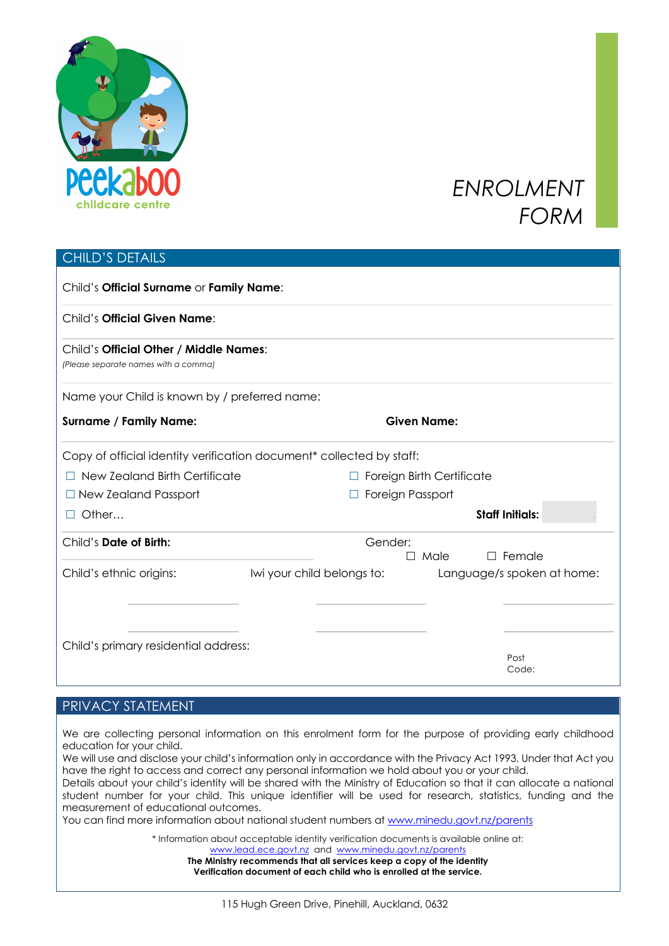

# *ENROLMENT FORM*

### CHILD'S DETAILS

| Child's Official Surname or Family Name:                                         |                            |                                  |                            |  |  |
|----------------------------------------------------------------------------------|----------------------------|----------------------------------|----------------------------|--|--|
| Child's <b>Official Given Name:</b>                                              |                            |                                  |                            |  |  |
| Child's Official Other / Middle Names:<br>(Please separate names with a comma)   |                            |                                  |                            |  |  |
| Name your Child is known by / preferred name:                                    |                            |                                  |                            |  |  |
| <b>Surname / Family Name:</b>                                                    |                            | <b>Given Name:</b>               |                            |  |  |
| Copy of official identity verification document <sup>*</sup> collected by staff: |                            |                                  |                            |  |  |
| New Zealand Birth Certificate                                                    |                            | <b>Foreign Birth Certificate</b> |                            |  |  |
| $\Box$ New Zealand Passport                                                      |                            | Foreign Passport                 |                            |  |  |
| Other                                                                            |                            |                                  | <b>Staff Initials:</b>     |  |  |
| Child's Date of Birth:                                                           |                            | Gender:<br>$\Box$ Male           | $\Box$ Female              |  |  |
| Child's ethnic origins:                                                          | Iwi your child belongs to: |                                  | Language/s spoken at home: |  |  |
| Child's primary residential address:                                             |                            |                                  |                            |  |  |
|                                                                                  |                            |                                  | Post<br>Code:              |  |  |

#### PRIVACY STATEMENT

We are collecting personal information on this enrolment form for the purpose of providing early childhood education for your child.

We will use and disclose your child's information only in accordance with the Privacy Act 1993. Under that Act you have the right to access and correct any personal information we hold about you or your child. Details about your child's identity will be shared with the Ministry of Education so that it can allocate a national student number for your child. This unique identifier will be used for research, statistics, funding and the measurement of educational outcomes.

You can find more information about national student numbers at www.minedu.govt.nz/parents

\* Information about acceptable identity verification documents is available online at: www.lead.ece.govt.nz and www.minedu.govt.nz/parents

**The Ministry recommends that all services keep a copy of the identity Verification document of each child who is enrolled at the service.**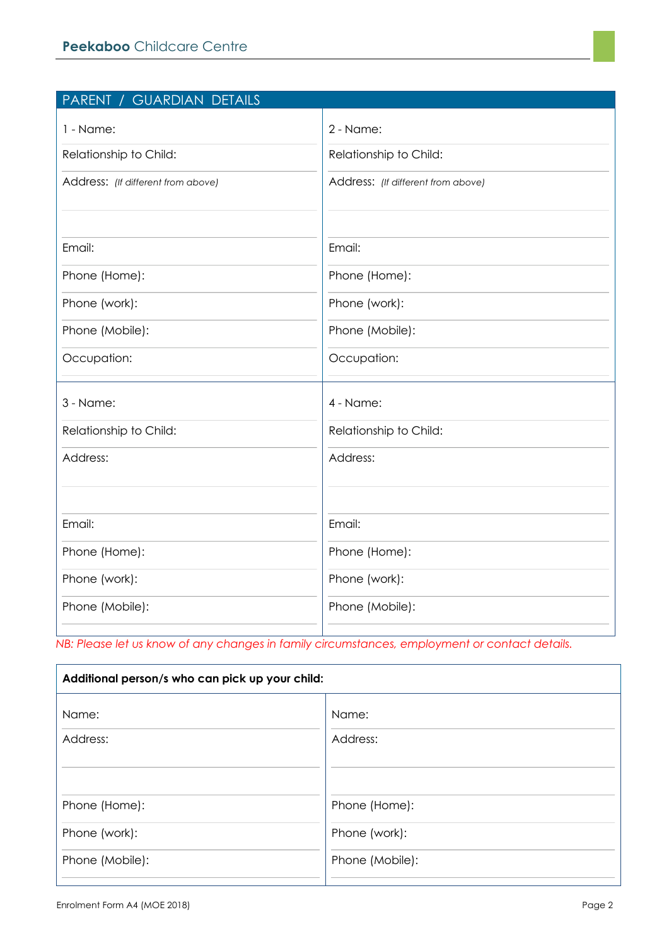| PARENT / GUARDIAN DETAILS          |                                    |
|------------------------------------|------------------------------------|
| 1 - Name:                          | 2 - Name:                          |
| Relationship to Child:             | Relationship to Child:             |
| Address: (If different from above) | Address: (If different from above) |
|                                    |                                    |
| Email:                             | Email:                             |
| Phone (Home):                      | Phone (Home):                      |
| Phone (work):                      | Phone (work):                      |
| Phone (Mobile):                    | Phone (Mobile):                    |
| Occupation:                        | Occupation:                        |
| 3 - Name:                          | 4 - Name:                          |
| Relationship to Child:             | Relationship to Child:             |
| Address:                           | Address:                           |
|                                    |                                    |
| Email:                             | Email:                             |
| Phone (Home):                      | Phone (Home):                      |
| Phone (work):                      | Phone (work):                      |
| Phone (Mobile):                    | Phone (Mobile):                    |
|                                    |                                    |

*NB: Please let us know of any changes in family circumstances, employment or contact details.* 

| Additional person/s who can pick up your child: |                 |  |
|-------------------------------------------------|-----------------|--|
| Name:                                           | Name:           |  |
| Address:                                        | Address:        |  |
| Phone (Home):                                   | Phone (Home):   |  |
| Phone (work):                                   | Phone (work):   |  |
| Phone (Mobile):                                 | Phone (Mobile): |  |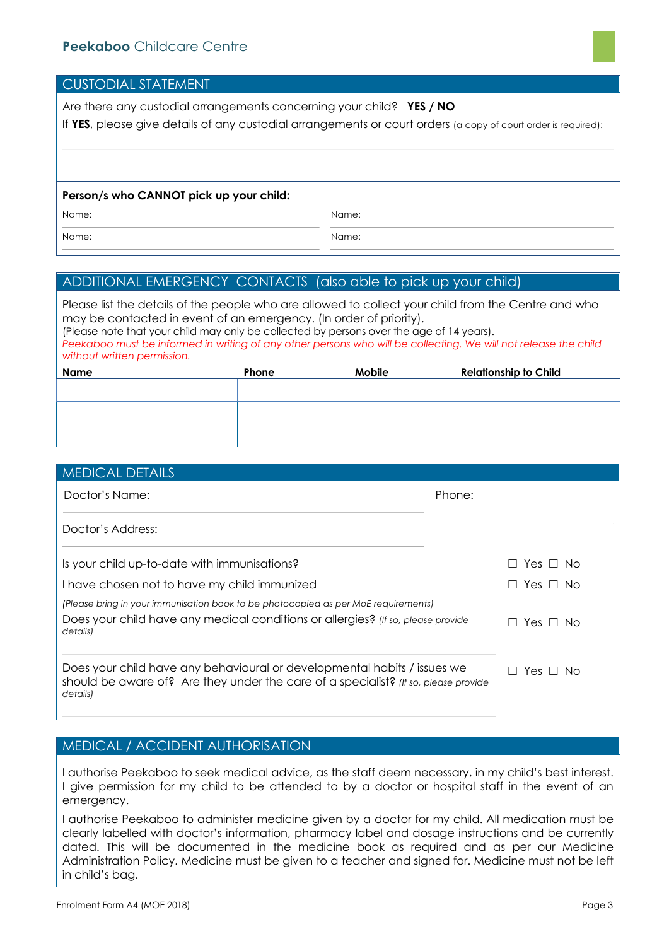CUSTODIAL STATEMENT

| CUJI ODIAL JIAILIVILINI.                                                                                                                                                               |       |  |
|----------------------------------------------------------------------------------------------------------------------------------------------------------------------------------------|-------|--|
| Are there any custodial arrangements concerning your child? YES / NO<br>If YES, please give details of any custodial arrangements or court orders (a copy of court order is required): |       |  |
| Person/s who CANNOT pick up your child:<br>Name:                                                                                                                                       | Name: |  |
| Name:                                                                                                                                                                                  | Name: |  |

#### ADDITIONAL EMERGENCY CONTACTS (also able to pick up your child)

Please list the details of the people who are allowed to collect your child from the Centre and who may be contacted in event of an emergency. (In order of priority). (Please note that your child may only be collected by persons over the age of 14 years). *Peekaboo must be informed in writing of any other persons who will be collecting. We will not release the child without written permission.* **Name Phone Mobile Relationship to Child** 

| <b>MEDICAL DETAILS</b>                                                                                                                                                             |                                 |                            |
|------------------------------------------------------------------------------------------------------------------------------------------------------------------------------------|---------------------------------|----------------------------|
| Doctor's Name:                                                                                                                                                                     | Phone:                          |                            |
| Doctor's Address:                                                                                                                                                                  |                                 |                            |
| Is your child up-to-date with immunisations?                                                                                                                                       |                                 | Yes $\sqcup$ No<br>$\perp$ |
| I have chosen not to have my child immunized                                                                                                                                       |                                 | Yes $\Box$ No<br>$\Box$    |
| (Please bring in your immunisation book to be photocopied as per MoE requirements)<br>Does your child have any medical conditions or allergies? (If so, please provide<br>details) | Yes $\Box$ No<br>ΙI             |                            |
| Does your child have any behavioural or developmental habits / issues we<br>should be aware of? Are they under the care of a specialist? (If so, please provide<br>details)        | Yes $\sqcup$ No<br>$\mathsf{L}$ |                            |

#### MEDICAL / ACCIDENT AUTHORISATION

I authorise Peekaboo to seek medical advice, as the staff deem necessary, in my child's best interest. I give permission for my child to be attended to by a doctor or hospital staff in the event of an emergency.

I authorise Peekaboo to administer medicine given by a doctor for my child. All medication must be clearly labelled with doctor's information, pharmacy label and dosage instructions and be currently dated. This will be documented in the medicine book as required and as per our Medicine Administration Policy. Medicine must be given to a teacher and signed for. Medicine must not be left in child's bag.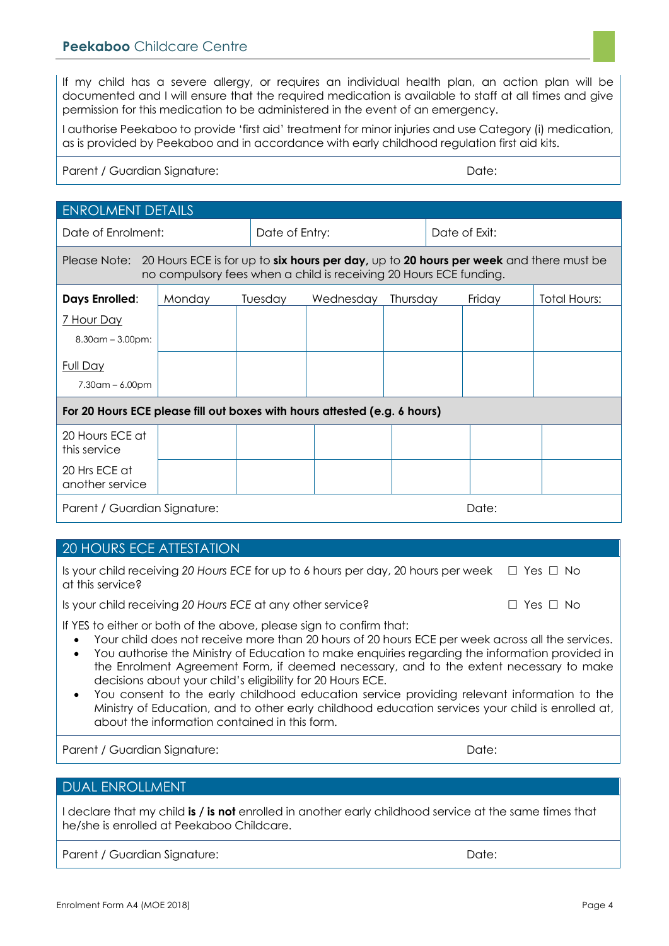If my child has a severe allergy, or requires an individual health plan, an action plan will be documented and I will ensure that the required medication is available to staff at all times and give permission for this medication to be administered in the event of an emergency.

I authorise Peekaboo to provide 'first aid' treatment for minor injuries and use Category (i) medication, as is provided by Peekaboo and in accordance with early childhood regulation first aid kits.

#### Parent / Guardian Signature: **Date:** Date: Date: Date: Date: Date: Date: Date: Date: Date: Date: Date: Date: Date: Date: Date: Date: Date: Date: Date: Date: Date: Date: Date: Date: Date: Date: Date: Date: Date: Date: Date:

| <b>ENROLMENT DETAILS</b>                                                                                                                                                  |        |                |           |               |       |        |              |
|---------------------------------------------------------------------------------------------------------------------------------------------------------------------------|--------|----------------|-----------|---------------|-------|--------|--------------|
| Date of Enrolment:                                                                                                                                                        |        | Date of Entry: |           | Date of Exit: |       |        |              |
| Please Note: 20 Hours ECE is for up to six hours per day, up to 20 hours per week and there must be<br>no compulsory fees when a child is receiving 20 Hours ECE funding. |        |                |           |               |       |        |              |
| <b>Days Enrolled:</b>                                                                                                                                                     | Monday | Tuesday        | Wednesday | Thursday      |       | Friday | Total Hours: |
| 7 Hour Day<br>$8.30$ am – $3.00$ pm:                                                                                                                                      |        |                |           |               |       |        |              |
| <b>Full Day</b><br>$7.30$ am – 6.00pm                                                                                                                                     |        |                |           |               |       |        |              |
| For 20 Hours ECE please fill out boxes with hours attested (e.g. 6 hours)                                                                                                 |        |                |           |               |       |        |              |
| 20 Hours ECE at<br>this service                                                                                                                                           |        |                |           |               |       |        |              |
| 20 Hrs ECE at<br>another service                                                                                                                                          |        |                |           |               |       |        |              |
| Parent / Guardian Signature:                                                                                                                                              |        |                |           |               | Date: |        |              |

#### 20 HOURS ECE ATTESTATION

| Is your child receiving 20 Hours ECE for up to 6 hours per day, 20 hours per week $\Box$ Yes $\Box$ No<br>at this service? |                      |
|----------------------------------------------------------------------------------------------------------------------------|----------------------|
| Is your child receiving 20 Hours ECE at any other service?                                                                 | $\Box$ Yes $\Box$ No |

If YES to either or both of the above, please sign to confirm that:

- Your child does not receive more than 20 hours of 20 hours ECE per week across all the services.
- You authorise the Ministry of Education to make enquiries regarding the information provided in the Enrolment Agreement Form, if deemed necessary, and to the extent necessary to make decisions about your child's eligibility for 20 Hours ECE.
- You consent to the early childhood education service providing relevant information to the Ministry of Education, and to other early childhood education services your child is enrolled at, about the information contained in this form.

Parent / Guardian Signature: Date: Date: Date: Date: Date: Date: Date: Date: Date: Date: Date: Date: Date: Date: Date: Date: Date: Date: Date: Date: Date: Date: Date: Date: Date: Date: Date: Date: Date: Date: Date: Date: D

#### DUAL ENROLLMENT

I declare that my child **is / is not** enrolled in another early childhood service at the same times that he/she is enrolled at Peekaboo Childcare.

Parent / Guardian Sianature: **Date: Date: Date: Date: Date: Date: Date: Date: Date: Date: Date: Date: Date: Date: Date: Date: Date: Date: Date: Date: Date: Date: Date: Date: Date: Date: Date: Date: Date: Date: Date: Date:**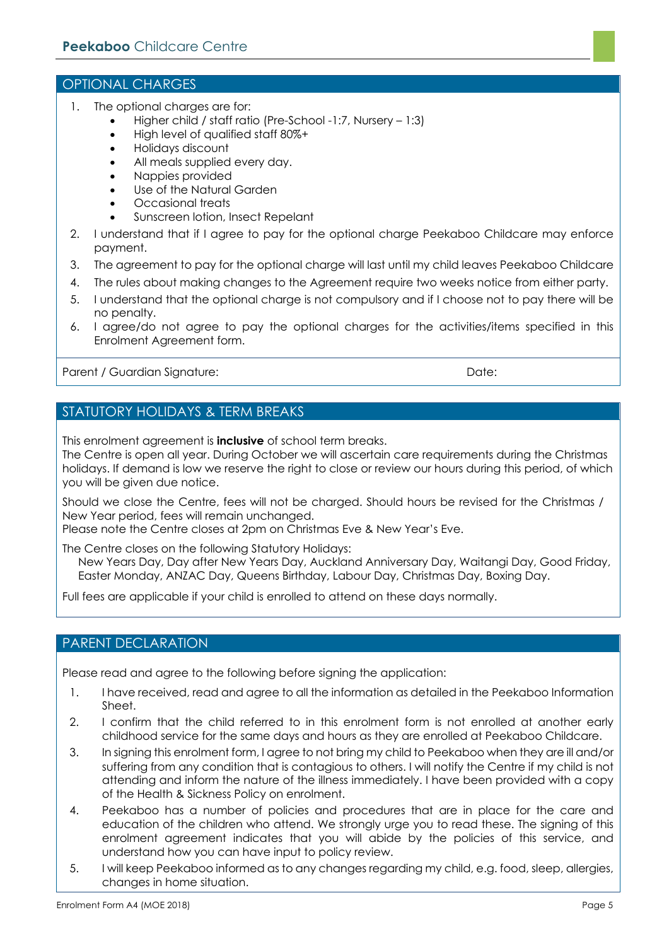#### OPTIONAL CHARGES

- 1. The optional charges are for:
	- Higher child / staff ratio (Pre-School -1:7, Nursery 1:3)
	- High level of qualified staff 80%+
	- Holidays discount
	- All meals supplied every day.
	- Nappies provided
	- Use of the Natural Garden
	- Occasional treats
	- Sunscreen lotion, Insect Repelant
- 2. I understand that if I agree to pay for the optional charge Peekaboo Childcare may enforce payment.
- 3. The agreement to pay for the optional charge will last until my child leaves Peekaboo Childcare
- 4. The rules about making changes to the Agreement require two weeks notice from either party.
- 5. I understand that the optional charge is not compulsory and if I choose not to pay there will be no penalty.
- 6. I agree/do not agree to pay the optional charges for the activities/items specified in this Enrolment Agreement form.

Parent / Guardian Signature: Date: Date: Date: Date: Date: Date: Date: Date: Date: Date: Date: Date: Date: Date: Date: Date: Date: Date: Date: Date: Date: Date: Date: Date: Date: Date: Date: Date: Date: Date: Date: Date: D

## STATUTORY HOLIDAYS & TERM BREAKS

This enrolment agreement is **inclusive** of school term breaks.

The Centre is open all year. During October we will ascertain care requirements during the Christmas holidays. If demand is low we reserve the right to close or review our hours during this period, of which you will be given due notice.

Should we close the Centre, fees will not be charged. Should hours be revised for the Christmas / New Year period, fees will remain unchanged.

Please note the Centre closes at 2pm on Christmas Eve & New Year's Eve.

The Centre closes on the following Statutory Holidays:

New Years Day, Day after New Years Day, Auckland Anniversary Day, Waitangi Day, Good Friday, Easter Monday, ANZAC Day, Queens Birthday, Labour Day, Christmas Day, Boxing Day.

Full fees are applicable if your child is enrolled to attend on these days normally.

#### PARENT DECLARATION

Please read and agree to the following before signing the application:

- 1. I have received, read and agree to all the information as detailed in the Peekaboo Information Sheet.
- 2. I confirm that the child referred to in this enrolment form is not enrolled at another early childhood service for the same days and hours as they are enrolled at Peekaboo Childcare.
- 3. In signing this enrolment form, I agree to not bring my child to Peekaboo when they are ill and/or suffering from any condition that is contagious to others. I will notify the Centre if my child is not attending and inform the nature of the illness immediately. I have been provided with a copy of the Health & Sickness Policy on enrolment.
- 4. Peekaboo has a number of policies and procedures that are in place for the care and education of the children who attend. We strongly urge you to read these. The signing of this enrolment agreement indicates that you will abide by the policies of this service, and understand how you can have input to policy review.
- 5. I will keep Peekaboo informed as to any changes regarding my child, e.g. food, sleep, allergies, changes in home situation.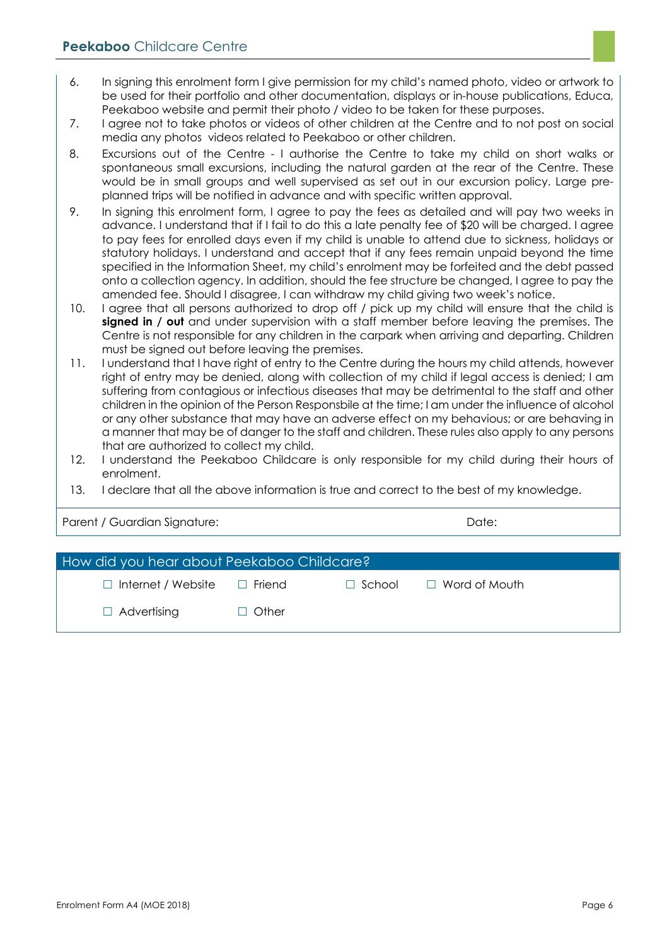- 6. In signing this enrolment form I give permission for my child's named photo, video or artwork to be used for their portfolio and other documentation, displays or in-house publications, Educa, Peekaboo website and permit their photo / video to be taken for these purposes.
- 7. I agree not to take photos or videos of other children at the Centre and to not post on social media any photos videos related to Peekaboo or other children.
- 8. Excursions out of the Centre I authorise the Centre to take my child on short walks or spontaneous small excursions, including the natural garden at the rear of the Centre. These would be in small groups and well supervised as set out in our excursion policy. Large preplanned trips will be notified in advance and with specific written approval.
- 9. In signing this enrolment form, I agree to pay the fees as detailed and will pay two weeks in advance. I understand that if I fail to do this a late penalty fee of \$20 will be charged. I agree to pay fees for enrolled days even if my child is unable to attend due to sickness, holidays or statutory holidays. I understand and accept that if any fees remain unpaid beyond the time specified in the Information Sheet, my child's enrolment may be forfeited and the debt passed onto a collection agency. In addition, should the fee structure be changed, I agree to pay the amended fee. Should I disagree, I can withdraw my child giving two week's notice.
- 10. I agree that all persons authorized to drop off / pick up my child will ensure that the child is **signed in / out** and under supervision with a staff member before leaving the premises. The Centre is not responsible for any children in the carpark when arriving and departing. Children must be signed out before leaving the premises.
- 11. I understand that I have right of entry to the Centre during the hours my child attends, however right of entry may be denied, along with collection of my child if legal access is denied; I am suffering from contagious or infectious diseases that may be detrimental to the staff and other children in the opinion of the Person Responsbile at the time; I am under the influence of alcohol or any other substance that may have an adverse effect on my behavious; or are behaving in a manner that may be of danger to the staff and children. These rules also apply to any persons that are authorized to collect my child.
- 12. I understand the Peekaboo Childcare is only responsible for my child during their hours of enrolment.
- 13. I declare that all the above information is true and correct to the best of my knowledge.

Parent / Guardian Signature: Date: Date: Date: Date: Date: Date: Date: Date: Date: Date: Date: Date: Date: Date: Date: Date: Date: Date: Date: Date: Date: Date: Date: Date: Date: Date: Date: Date: Date: Date: Date: Date: D

| How did you hear about Peekaboo Childcare? |              |               |                      |  |
|--------------------------------------------|--------------|---------------|----------------------|--|
| $\Box$ Internet / Website                  | □ Friend     | $\Box$ School | $\Box$ Word of Mouth |  |
| $\Box$ Advertising                         | $\Box$ Other |               |                      |  |